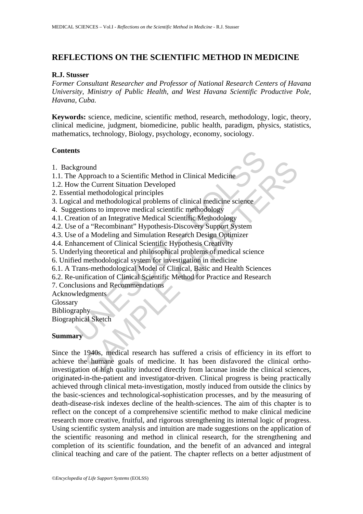# **REFLECTIONS ON THE SCIENTIFIC METHOD IN MEDICINE**

#### **R.J. Stusser**

*Former Consultant Researcher and Professor of National Research Centers of Havana University, Ministry of Public Health, and West Havana Scientific Productive Pole, Havana, Cuba.* 

**Keywords:** science, medicine, scientific method, research, methodology, logic, theory, clinical medicine, judgment, biomedicine, public health, paradigm, physics, statistics, mathematics, technology, Biology, psychology, economy, sociology.

# **Contents**

- 1. Background
- 1.1. The Approach to a Scientific Method in Clinical Medicine
- 1.2. How the Current Situation Developed
- 2. Essential methodological principles
- 3. Logical and methodological problems of clinical medicine science
- 4. Suggestions to improve medical scientific methodology
- 4.1. Creation of an Integrative Medical Scientific Methodology
- 4.2. Use of a "Recombinant" Hypothesis-Discovery Support System
- 4.3. Use of a Modeling and Simulation Research Design Optimizer
- 4.4. Enhancement of Clinical Scientific Hypothesis Creativity
- 5. Underlying theoretical and philosophical problems of medical science
- 6. Unified methodological system for investigation in medicine
- **Example 2018**<br>
September 18 Approach to a Scientific Method in Clinical Medicine<br>
we the Current Situation Developed<br>
trial methodological principles<br>
and methodological problems of clinical medicine science<br>
septions to 6.1. A Trans-methodological Model of Clinical, Basic and Health Sciences
- 6.2. Re-unification of Clinical Scientific Method for Practice and Research
- 7. Conclusions and Recommendations

Acknowledgments

Glossary

Bibliography

Biographical Sketch

# **Summary**

by<br>
metaleurent Situation Developed<br>
In methodological principles<br>
and methodological principles<br>
and methodological principles<br>
and methodological principles<br>
ions to improve medical scientific methodology<br>
a "Recombinant Since the 1940s, medical research has suffered a crisis of efficiency in its effort to achieve the humane goals of medicine. It has been disfavored the clinical orthoinvestigation of high quality induced directly from lacunae inside the clinical sciences, originated-in-the-patient and investigator-driven. Clinical progress is being practically achieved through clinical meta-investigation, mostly induced from outside the clinics by the basic-sciences and technological-sophistication processes, and by the measuring of death-disease-risk indexes decline of the health-sciences. The aim of this chapter is to reflect on the concept of a comprehensive scientific method to make clinical medicine research more creative, fruitful, and rigorous strengthening its internal logic of progress. Using scientific system analysis and intuition are made suggestions on the application of the scientific reasoning and method in clinical research, for the strengthening and completion of its scientific foundation, and the benefit of an advanced and integral clinical teaching and care of the patient. The chapter reflects on a better adjustment of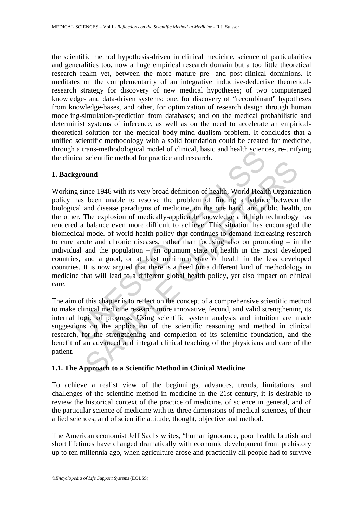the scientific method hypothesis-driven in clinical medicine, science of particularities and generalities too, now a huge empirical research domain but a too little theoretical research realm yet, between the more mature pre- and post-clinical dominions. It meditates on the complementarity of an integrative inductive-deductive theoreticalresearch strategy for discovery of new medical hypotheses; of two computerized knowledge- and data-driven systems: one, for discovery of "recombinant" hypotheses from knowledge-bases, and other, for optimization of research design through human modeling-simulation-prediction from databases; and on the medical probabilistic and determinist systems of inference, as well as on the need to accelerate an empiricaltheoretical solution for the medical body-mind dualism problem. It concludes that a unified scientific methodology with a solid foundation could be created for medicine, through a trans-methodological model of clinical, basic and health sciences, re-unifying the clinical scientific method for practice and research.

### **1. Background**

a trans-metrodological moder of cinncal, basic and nearth science<br>cal scientific method for practice and research.<br>**ground**<br>g since 1946 with its very broad definition of health, World Health<br>has been unable to resolve the bushim e membe an product and seteration.<br>
ince 1946 with its very broad definition of health, World Health Organiza<br>
been unable to resolve the problem of finding a balance between<br>
and disease paradigms of medicine, on t Working since 1946 with its very broad definition of health, World Health Organization policy has been unable to resolve the problem of finding a balance between the biological and disease paradigms of medicine, on the one hand, and public health, on the other. The explosion of medically-applicable knowledge and high technology has rendered a balance even more difficult to achieve. This situation has encouraged the biomedical model of world health policy that continues to demand increasing research to cure acute and chronic diseases, rather than focusing also on promoting – in the individual and the population – an optimum state of health in the most developed countries, and a good, or at least minimum state of health in the less developed countries. It is now argued that there is a need for a different kind of methodology in medicine that will lead to a different global health policy, yet also impact on clinical care.

The aim of this chapter is to reflect on the concept of a comprehensive scientific method to make clinical medicine research more innovative, fecund, and valid strengthening its internal logic of progress. Using scientific system analysis and intuition are made suggestions on the application of the scientific reasoning and method in clinical research, for the strengthening and completion of its scientific foundation, and the benefit of an advanced and integral clinical teaching of the physicians and care of the patient.

# **1.1. The Approach to a Scientific Method in Clinical Medicine**

To achieve a realist view of the beginnings, advances, trends, limitations, and challenges of the scientific method in medicine in the 21st century, it is desirable to review the historical context of the practice of medicine, of science in general, and of the particular science of medicine with its three dimensions of medical sciences, of their allied sciences, and of scientific attitude, thought, objective and method.

The American economist Jeff Sachs writes, "human ignorance, poor health, brutish and short lifetimes have changed dramatically with economic development from prehistory up to ten millennia ago, when agriculture arose and practically all people had to survive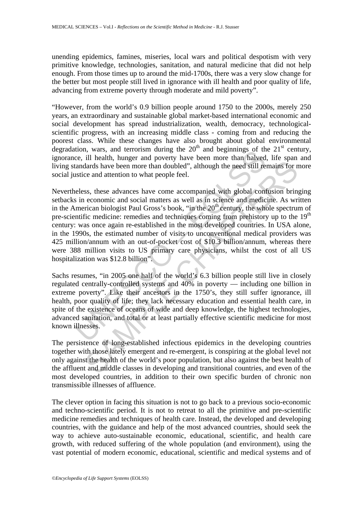unending epidemics, famines, miseries, local wars and political despotism with very primitive knowledge, technologies, sanitation, and natural medicine that did not help enough. From those times up to around the mid-1700s, there was a very slow change for the better but most people still lived in ignorance with ill health and poor quality of life, advancing from extreme poverty through moderate and mild poverty".

"However, from the world's 0.9 billion people around 1750 to the 2000s, merely 250 years, an extraordinary and sustainable global market-based international economic and social development has spread industrialization, wealth, democracy, technologicalscientific progress, with an increasing middle class - coming from and reducing the poorest class. While these changes have also brought about global environmental degradation, wars, and terrorism during the  $20<sup>th</sup>$  and beginnings of the  $21<sup>st</sup>$  century, ignorance, ill health, hunger and poverty have been more than halved, life span and living standards have been more than doubled", although the need still remains for more social justice and attention to what people feel.

now, was, and errorism during the 20 and beginnings of under<br>ce, ill health, hunger and poverty have been more than halved<br>tandards have been more than doubled", although the need still re-<br>attandards have been more than d m notation to what peak the comparison in the distribution of the speak and the search and the celeration to what people feel.<br>
ss, these advances have come accompanied with global confusion bring economic and social matt Nevertheless, these advances have come accompanied with global confusion bringing setbacks in economic and social matters as well as in science and medicine. As written in the American biologist Paul Gross's book, "in the  $20<sup>th</sup>$  century, the whole spectrum of pre-scientific medicine: remedies and techniques coming from prehistory up to the 19<sup>th</sup> century: was once again re-established in the most developed countries. In USA alone, in the 1990s, the estimated number of visits to unconventional medical providers was 425 million/annum with an out-of-pocket cost of \$10.3 billion/annum, whereas there were 388 million visits to US primary care physicians, whilst the cost of all US hospitalization was \$12.8 billion".

Sachs resumes, "in 2005 one half of the world's 6.3 billion people still live in closely regulated centrally-controlled systems and 40% in poverty — including one billion in extreme poverty". Like their ancestors in the 1750's, they still suffer ignorance, ill health, poor quality of life; they lack necessary education and essential health care, in spite of the existence of oceans of wide and deep knowledge, the highest technologies, advanced sanitation, and total or at least partially effective scientific medicine for most known illnesses.

The persistence of long-established infectious epidemics in the developing countries together with those lately emergent and re-emergent, is conspiring at the global level not only against the health of the world's poor population, but also against the best health of the affluent and middle classes in developing and transitional countries, and even of the most developed countries, in addition to their own specific burden of chronic non transmissible illnesses of affluence.

The clever option in facing this situation is not to go back to a previous socio-economic and techno-scientific period. It is not to retreat to all the primitive and pre-scientific medicine remedies and techniques of health care. Instead, the developed and developing countries, with the guidance and help of the most advanced countries, should seek the way to achieve auto-sustainable economic, educational, scientific, and health care growth, with reduced suffering of the whole population (and environment), using the vast potential of modern economic, educational, scientific and medical systems and of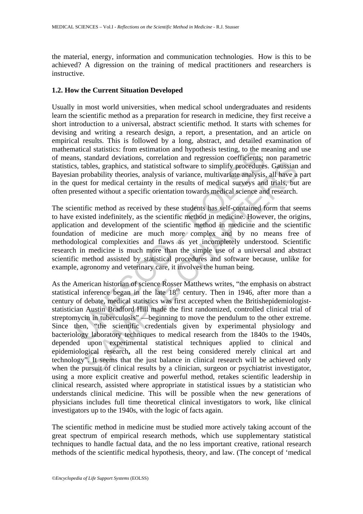the material, energy, information and communication technologies. How is this to be achieved? A digression on the training of medical practitioners and researchers is instructive.

### **1.2. How the Current Situation Developed**

Usually in most world universities, when medical school undergraduates and residents learn the scientific method as a preparation for research in medicine, they first receive a short introduction to a universal, abstract scientific method. It starts with schemes for devising and writing a research design, a report, a presentation, and an article on empirical results. This is followed by a long, abstract, and detailed examination of mathematical statistics: from estimation and hypothesis testing, to the meaning and use of means, standard deviations, correlation and regression coefficients; non parametric statistics, tables, graphics, and statistical software to simplify procedures. Gaussian and Bayesian probability theories, analysis of variance, multivariate analysis, all have a part in the quest for medical certainty in the results of medical surveys and trials, but are often presented without a specific orientation towards medical science and research.

and statistics: rion estimation and inyousels testing, to the nin<br>in s, standard deviations, correlation and regression coefficients;<br>s, tables, graphics, and statistical software to simplify procedures<br>in probability theo The scientific method as received by these students has self-contained form that seems to have existed indefinitely, as the scientific method in medicine. However, the origins, application and development of the scientific method in medicine and the scientific foundation of medicine are much more complex and by no means free of methodological complexities and flaws as yet incompletely understood. Scientific research in medicine is much more than the simple use of a universal and abstract scientific method assisted by statistical procedures and software because, unlike for example, agronomy and veterinary care, it involves the human being.

shalls, graphics, and statistical software to simplify procedures. Gaussian<br>abables, graphics, and statistical software to simplify procedures. Gaussian<br>robability theories, analysis of variance, multivariate analysis, all As the American historian of science Rosser Matthews writes, "the emphasis on abstract statistical inference began in the late  $18<sup>th</sup>$  century. Then in 1946, after more than a century of debate, medical statistics was first accepted when the Britishepidemiologiststatistician Austin Bradford Hill made the first randomized, controlled clinical trial of streptomycin in tuberculosis" —beginning to move the pendulum to the other extreme. Since then, "the scientific credentials given by experimental physiology and bacteriology laboratory techniques to medical research from the 1840s to the 1940s, depended upon experimental statistical techniques applied to clinical and epidemiological research**,** all the rest being considered merely clinical art and technology". It seems that the just balance in clinical research will be achieved only when the pursuit of clinical results by a clinician, surgeon or psychiatrist investigator, using a more explicit creative and powerful method, retakes scientific leadership in clinical research, assisted where appropriate in statistical issues by a statistician who understands clinical medicine. This will be possible when the new generations of physicians includes full time theoretical clinical investigators to work, like clinical investigators up to the 1940s, with the logic of facts again.

The scientific method in medicine must be studied more actively taking account of the great spectrum of empirical research methods, which use supplementary statistical techniques to handle factual data, and the no less important creative, rational research methods of the scientific medical hypothesis, theory, and law. (The concept of 'medical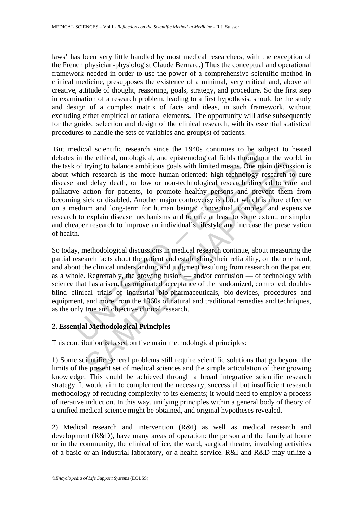laws' has been very little handled by most medical researchers, with the exception of the French physician-physiologist Claude Bernard.) Thus the conceptual and operational framework needed in order to use the power of a comprehensive scientific method in clinical medicine, presupposes the existence of a minimal, very critical and, above all creative, attitude of thought, reasoning, goals, strategy, and procedure. So the first step in examination of a research problem, leading to a first hypothesis, should be the study and design of a complex matrix of facts and ideas, in such framework, without excluding either empirical or rational elements**.** The opportunity will arise subsequently for the guided selection and design of the clinical research, with its essential statistical procedures to handle the sets of variables and group(s) of patients.

ences are three three than the tracket in the three in the thing to be surfaint in the ethical, ontological, and epistemological fields throughout of trying to balance ambitious goals with limited means. One may hich resea Involving to balance ambitrious goals with limited means. One main discussion<br>trying to balance ambitrious goals with limited means. One main discussion<br>the research is the more human-oriented: high-technology research to<br> But medical scientific research since the 1940s continues to be subject to heated debates in the ethical, ontological, and epistemological fields throughout the world, in the task of trying to balance ambitious goals with limited means. One main discussion is about which research is the more human-oriented: high-technology research to cure disease and delay death, or low or non-technological research directed to care and palliative action for patients, to promote healthy persons and prevent them from becoming sick or disabled. Another major controversy is about which is more effective on a medium and long-term for human beings: conceptual, complex, and expensive research to explain disease mechanisms and to cure at least to some extent, or simpler and cheaper research to improve an individual's lifestyle and increase the preservation of health.

So today, methodological discussions in medical research continue, about measuring the partial research facts about the patient and establishing their reliability, on the one hand, and about the clinical understanding and judgment resulting from research on the patient as a whole. Regrettably, the growing fusion — and/or confusion — of technology with science that has arisen**,** has originated acceptance of the randomized, controlled, doubleblind clinical trials of industrial bio-pharmaceuticals, bio-devices, procedures and equipment, and more from the 1960s of natural and traditional remedies and techniques, as the only true and objective clinical research.

# **2. Essential Methodological Principles**

This contribution is based on five main methodological principles:

1) Some scientific general problems still require scientific solutions that go beyond the limits of the present set of medical sciences and the simple articulation of their growing knowledge. This could be achieved through a broad integrative scientific research strategy. It would aim to complement the necessary, successful but insufficient research methodology of reducing complexity to its elements; it would need to employ a process of iterative induction. In this way, unifying principles within a general body of theory of a unified medical science might be obtained, and original hypotheses revealed.

2) Medical research and intervention (R&I) as well as medical research and development (R&D), have many areas of operation: the person and the family at home or in the community, the clinical office, the ward, surgical theatre, involving activities of a basic or an industrial laboratory, or a health service. R&I and R&D may utilize a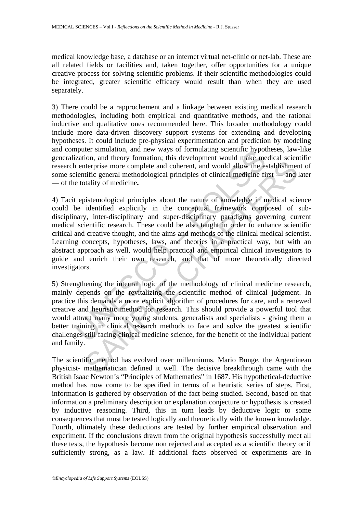medical knowledge base, a database or an internet virtual net-clinic or net-lab. These are all related fields or facilities and, taken together, offer opportunities for a unique creative process for solving scientific problems. If their scientific methodologies could be integrated, greater scientific efficacy would result than when they are used separately.

3) There could be a rapprochement and a linkage between existing medical research methodologies, including both empirical and quantitative methods, and the rational inductive and qualitative ones recommended here. This broader methodology could include more data-driven discovery support systems for extending and developing hypotheses. It could include pre-physical experimentation and prediction by modeling and computer simulation, and new ways of formulating scientific hypotheses, law-like generalization, and theory formation; this development would make medical scientific research enterprise more complete and coherent, and would allow the establishment of some scientific general methodological principles of clinical medicine first — and later — of the totality of medicine**.**

mputer similantion, and new ways of formulating scientine mypotentical<br>ization, and theory formation; this development would make me<br>a nenterprise more complete and coherent, and would allow the es-<br>ientific general method name and the methodological principles and otherent, and would allow the establishmer<br>tiefrprise more complete and otherent, and would allow the establishmer<br>tific general methodological principles of clinical medicine fir 4) Tacit epistemological principles about the nature of knowledge in medical science could be identified explicitly in the conceptual framework composed of subdisciplinary, inter-disciplinary and super-disciplinary paradigms governing current medical scientific research. These could be also taught in order to enhance scientific critical and creative thought, and the aims and methods of the clinical medical scientist. Learning concepts, hypotheses, laws, and theories in a practical way, but with an abstract approach as well, would help practical and empirical clinical investigators to guide and enrich their own research, and that of more theoretically directed investigators.

5) Strengthening the internal logic of the methodology of clinical medicine research, mainly depends on the revitalizing the scientific method of clinical judgment. In practice this demands a more explicit algorithm of procedures for care, and a renewed creative and heuristic method for research. This should provide a powerful tool that would attract many more young students, generalists and specialists - giving them a better training in clinical research methods to face and solve the greatest scientific challenges still facing clinical medicine science, for the benefit of the individual patient and family.

The scientific method has evolved over millenniums. Mario Bunge, the Argentinean physicist- mathematician defined it well. The decisive breakthrough came with the British Isaac Newton's "Principles of Mathematics" in 1687. His hypothetical-deductive method has now come to be specified in terms of a heuristic series of steps. First, information is gathered by observation of the fact being studied. Second, based on that information a preliminary description or explanation conjecture or hypothesis is created by inductive reasoning. Third, this in turn leads by deductive logic to some consequences that must be tested logically and theoretically with the known knowledge. Fourth, ultimately these deductions are tested by further empirical observation and experiment. If the conclusions drawn from the original hypothesis successfully meet all these tests, the hypothesis become non rejected and accepted as a scientific theory or if sufficiently strong, as a law. If additional facts observed or experiments are in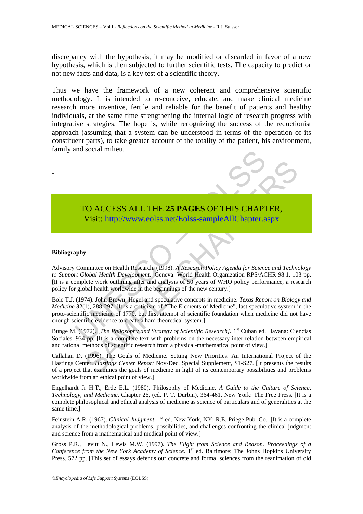discrepancy with the hypothesis, it may be modified or discarded in favor of a new hypothesis, which is then subjected to further scientific tests. The capacity to predict or not new facts and data, is a key test of a scientific theory.

Thus we have the framework of a new coherent and comprehensive scientific methodology. It is intended to re-conceive, educate, and make clinical medicine research more inventive, fertile and reliable for the benefit of patients and healthy individuals, at the same time strengthening the internal logic of research progress with integrative strategies. The hope is, while recognizing the success of the reductionist approach (assuming that a system can be understood in terms of the operation of its constituent parts), to take greater account of the totality of the patient, his environment, family and social milieu.

# TO ACCESS ALL THE **25 PAGES** OF THIS CHAPTER, Visit: http://www.eolss.net/Eolss-sampleAllChapter.aspx

#### **Bibliography**

- - -

TO ACCESS ALL THE 25 PAGES OF THIS CHAPT<br>Visit: http://www.eolss.net/Eolss-sampleAllChapter.a<br>phy<br>memittee on Health Research. (1998). A Research Policy Agenda for Scienc<br>r Global Health Development. Geneva: World Health TO ACCESS ALL THE 25 PAGES OF THIS CH[APTE](https://www.eolss.net/ebooklib/sc_cart.aspx?File=E6-59-01-02)R,<br>
Visit: http://www.colss.net/Eolss-sampleAllChapter.aspx<br>
y<br>
y<br>
y<br>
y<br>
y<br>
the controllabetable Research (1998). A Research Policy Agenda for Science and Technolobal Health Newtop Advisory Committee on Health Research. (1998). *A Research Policy Agenda for Science and Technology to Support Global Health Development.* Geneva: World Health Organization RPS/ACHR 98.1. 103 pp. [It is a complete work outlining after and analysis of 50 years of WHO policy performance, a research policy for global health worldwide in the beginnings of the new century.]

Bole T.J. (1974). John Brown, Hegel and speculative concepts in medicine. *Texas Report on Biology and Medicine* **32**(1), 288-297. [It is a criticism of "The Elements of Medicine", last speculative system in the proto-scientific medicine of 1770, but first attempt of scientific foundation when medicine did not have enough scientific evidence to create a hard theoretical system.]

Bunge M. (1972). [*The Philosophy and Strategy of Scientific Research*]. 1<sup>st</sup> Cuban ed. Havana: Ciencias Sociales. 934 pp. [It is a complete text with problems on the necessary inter-relation between empirical and rational methods of scientific research from a physical-mathematical point of view.]

Callahan D. (1996). The Goals of Medicine. Setting New Priorities. An International Project of the Hastings Center. *Hastings Center Report* Nov-Dec, Special Supplement, S1-S27. [It presents the results of a project that examines the goals of medicine in light of its contemporary possibilities and problems worldwide from an ethical point of view.]

Engelhardt Jr H.T., Erde E.L. (1980). Philosophy of Medicine. *A Guide to the Culture of Science, Technology, and Medicine*, Chapter 26, (ed. P. T. Durbin), 364-461. New York: The Free Press. [It is a complete philosophical and ethical analysis of medicine as science of particulars and of generalities at the same time.]

Feinstein A.R. (1967). *Clinical Judgment*. 1<sup>st</sup> ed. New York, NY: R.E. Priege Pub. Co. [It is a complete analysis of the methodological problems, possibilities, and challenges confronting the clinical judgment and science from a mathematical and medical point of view.]

Gross P.R., Levitt N., Lewis M.W. (1997). *The Flight from Science and Reason. Proceedings of a*  Conference from the New York Academy of Science. 1<sup>st</sup> ed. Baltimore: The Johns Hopkins University Press. 572 pp. [This set of essays defends our concrete and formal sciences from the reanimation of old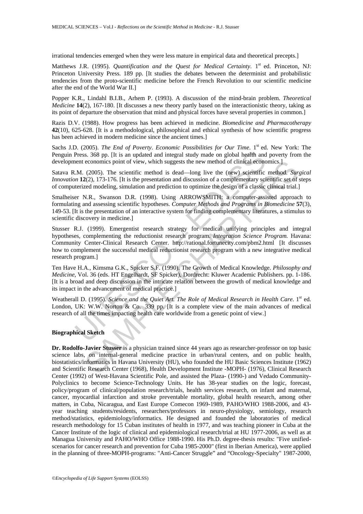irrational tendencies emerged when they were less mature in empirical data and theoretical precepts.]

Matthews J.R. (1995). *Quantification and the Quest for Medical Certainty*. 1<sup>st</sup> ed. Princeton, NJ: Princeton University Press. 189 pp. [It studies the debates between the determinist and probabilistic tendencies from the proto-scientific medicine before the French Revolution to our scientific medicine after the end of the World War II.]

Popper K.R., Lindahl B.I.B., Arhem P. (1993). A discussion of the mind-brain problem. *Theoretical Medicine* **14**(2), 167-180. [It discusses a new theory partly based on the interactionistic theory, taking as its point of departure the observation that mind and physical forces have several properties in common.]

Razis D.V. (1988). How progress has been achieved in medicine. *Biomedicine and Pharmacotherapy* **42**(10), 625-628. [It is a methodological, philosophical and ethical synthesis of how scientific progress has been achieved in modern medicine since the ancient times.]

Sachs J.D. (2005). *The End of Poverty. Economic Possibilities for Our Time*. 1<sup>st</sup> ed. New York: The Penguin Press. 368 pp. [It is an updated and integral study made on global health and poverty from the development economics point of view, which suggests the new method of clinical economics.]

Satava R.M. (2005). The scientific method is dead—long live the (new) scientific method. *Surgical Innovation* **12**(2), 173-176. [It is the presentation and discussion of a complementary scientific set of steps of computerized modeling, simulation and prediction to optimize the design of a classic clinical trial.]

Smalheiser N.R., Swanson D.R. (1998). Using ARROWSMITH: a computer-assisted approach to formulating and assessing scientific hypotheses. *Computer Methods and Programs in Biomedicine* **57**(3), 149-53. [It is the presentation of an interactive system for finding complementary literatures, a stimulus to scientific discovery in medicine.]

Dress. 368 pp. [It is an updated and integral study made on global health and<br>Press. 368 pp. [It is an updated and integral study made on global health and<br>ent cconomics point of view, which suggests the new method of cli economics point of view, which suggests the new method of clinical economics.]<br>(2005). The scientific method is dead—long live the (new) seientific method. Survey (new from the free (new seconding, simulation and predicti Stusser R.J. (1999). Emergentist research strategy for medical unifying principles and integral hypotheses, complementing the reductionist research program. *Integration Science Program.* Havana: Community Center-Clinical Research Center. http://rational.fortunecity.com/pbm2.html [It discusses how to complement the successful medical reductionist research program with a new integrative medical research program.]

Ten Have H.A., Kimsma G.K., Spicker S.F. (1990). The Growth of Medical Knowledge. *Philosophy and Medicine,* Vol. 36 (eds. HT Engelhardt, SF Spicker), Dordrecht: Kluwer Academic Publishers. pp. 1-186. [It is a broad and deep discussion in the intricate relation between the growth of medical knowledge and its impact in the advancement of medical practice.]

Weatherall D. (1995). *Science and the Quiet Art. The Role of Medical Research in Health Care*. 1<sup>st</sup> ed. London, UK: W.W. Norton & Co. 339 pp. It is a complete view of the main advances of medical research of all the times impacting health care worldwide from a genetic point of view.]

#### **Biographical Sketch**

**Dr. Rodolfo-Javier Stusser** is a physician trained since 44 years ago as researcher-professor on top basic science labs, on internal-general medicine practice in urban/rural centers, and on public health, biostatistics/informatics in Havana University (HU), who founded the HU Basic Sciences Institute (1962) and Scientific Research Center (1968), Health Development Institute -MOPH- (1976), Clinical Research Center (1992) of West-Havana Scientific Pole, and assisted the Plaza- (1990-) and Vedado Community-Polyclinics to become Science-Technology Units. He has 38-year studies on the logic, forecast, policy/program of clinical/population research/trials, health services research, on infant and maternal, cancer, myocardial infarction and stroke preventable mortality, global health research, among other matters, in Cuba, Nicaragua, and East Europe Comecon 1969-1989, PAHO/WHO 1988-2006, and 43 year teaching students/residents, researchers/professors in neuro-physiology, semiology, research method/statistics, epidemiology/informatics. He designed and founded the laboratories of medical research methodology for 15 Cuban institutes of health in 1977, and was teaching pioneer in Cuba at the Cancer Institute of the logic of clinical and epidemiological research/trial at HU 1977-2006, as well as at Managua University and PAHO/WHO Office 1988-1990. His Ph.D. degree-thesis results: "Five unifiedscenarios for cancer research and prevention for Cuba 1985-2000" (first in Iberian America), were applied in the planning of three-MOPH-programs: "Anti-Cancer Struggle" and "Oncology-Specialty" 1987-2000,